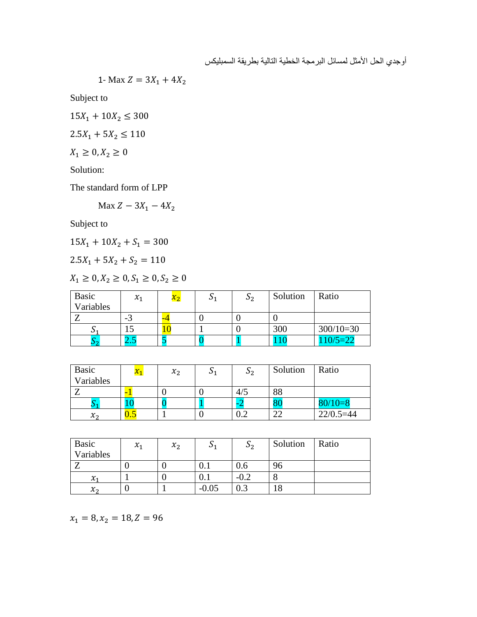أوجدي الحل الأمثل لمسائل البرمجة الخطية التالية بطريقة السمبليكس

1- Max 
$$
Z = 3X_1 + 4X_2
$$

Subject to

 $15X_1 + 10X_2 \leq 300$ 

$$
2.5X_1 + 5X_2 \le 110
$$

$$
X_1 \geq 0, X_2 \geq 0
$$

Solution:

The standard form of LPP

Max  $Z - 3X_1 - 4X_2$ 

Subject to

 $15X_1 + 10X_2 + S_1 = 300$ 

 $2.5X_1 + 5X_2 + S_2 = 110$ 

 $X_1 \geq 0, X_2 \geq 0, S_1 \geq 0, S_2 \geq 0$ 

| Basic<br>Variables | $x_{1}$ | $x_2$ | ს 2 | Solution | Ratio       |
|--------------------|---------|-------|-----|----------|-------------|
|                    | - 3     |       |     |          |             |
|                    |         |       |     | 300      | $300/10=30$ |
| າາ                 | - -     |       |     |          | $10/5=22$   |

| <b>Basic</b><br>Variables | $x_1$ | $x_2$ | ັ | ს 2 | Solution | Ratio         |
|---------------------------|-------|-------|---|-----|----------|---------------|
|                           |       |       |   |     |          |               |
|                           |       |       |   | 4/5 | 88       |               |
|                           |       |       |   |     |          | $80/10=8$     |
| $\mathcal{X}_{2}$         | U.J   |       |   |     |          | $22/0.5 = 44$ |

| <b>Basic</b>      | $\mathcal{X}_1$ | $x_2$ | ັບ 1    | $\mathsf{D}_2$ | Solution       | Ratio |
|-------------------|-----------------|-------|---------|----------------|----------------|-------|
| Variables         |                 |       |         |                |                |       |
| -                 |                 |       | v. 1    | V.6            | 96             |       |
| $\chi_1$          |                 |       | v.i     | $-0.2$         |                |       |
| $\mathcal{X}_{2}$ |                 |       | $-0.05$ | $0.3\,$        | $\Omega$<br>10 |       |

 $x_1 = 8, x_2 = 18, Z = 96$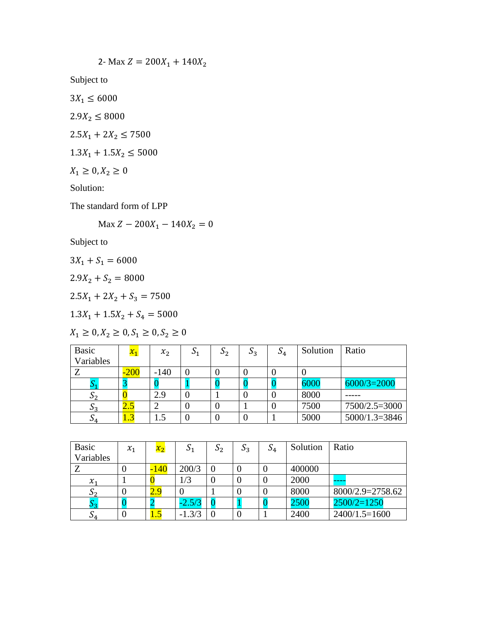$$
2. \text{ Max } Z = 200X_1 + 140X_2
$$

Subject to

- $3X_1 \le 6000$
- $2.9X_2 \le 8000$
- $2.5X_1 + 2X_2 \le 7500$
- $1.3X_1 + 1.5X_2 \le 5000$
- $X_1 \ge 0, X_2 \ge 0$

Solution:

The standard form of LPP

Max  $Z - 200X_1 - 140X_2 = 0$ 

Subject to

- $3X_1 + S_1 = 6000$
- $2.9X_2 + S_2 = 8000$
- $2.5X_1 + 2X_2 + S_3 = 7500$
- $1.3X_1 + 1.5X_2 + S_4 = 5000$

$$
X_1 \ge 0, X_2 \ge 0, S_1 \ge 0, S_2 \ge 0
$$

| <b>Basic</b> | $x_1$  | $x_2$  | $S_1$ | S <sub>2</sub> | $S_3$ | $\mathsf{D}_4$ | Solution | Ratio           |
|--------------|--------|--------|-------|----------------|-------|----------------|----------|-----------------|
| Variables    |        |        |       |                |       |                |          |                 |
|              | $-200$ | $-140$ | 0     |                |       |                | υ        |                 |
|              |        |        |       |                |       |                | 6000     | $6000/3=2000$   |
| ມາ           |        | 2.9    | U     |                |       |                | 8000     |                 |
| ມາ           | 2.J    |        | O     |                |       |                | 7500     | 7500/2.5=3000   |
| ັບ 4.        | 1.J    | l.5    | U     |                |       |                | 5000     | $5000/1.3=3846$ |

| <b>Basic</b>    | $x_1$ | $x_2$  | S <sub>1</sub> | $\mathcal{D}_{2}$ | $S_3$ | $S_4$ | Solution | Ratio            |
|-----------------|-------|--------|----------------|-------------------|-------|-------|----------|------------------|
| Variables       |       |        |                |                   |       |       |          |                  |
|                 | υ     | $-140$ | 200/3          |                   | 0     | O     | 400000   |                  |
| $\mathcal{X}_1$ |       |        | 1/3            |                   | O     |       | 2000     | ----             |
| ر ل             |       | 2.9    |                |                   |       |       | 8000     | 8000/2.9=2758.62 |
|                 |       |        | $-2.5/3$       |                   |       |       | 2500     | $2500/2=1250$    |
| υ4              |       | 1.5    | $-1.3/3$       |                   | 0     |       | 2400     | $2400/1.5=1600$  |